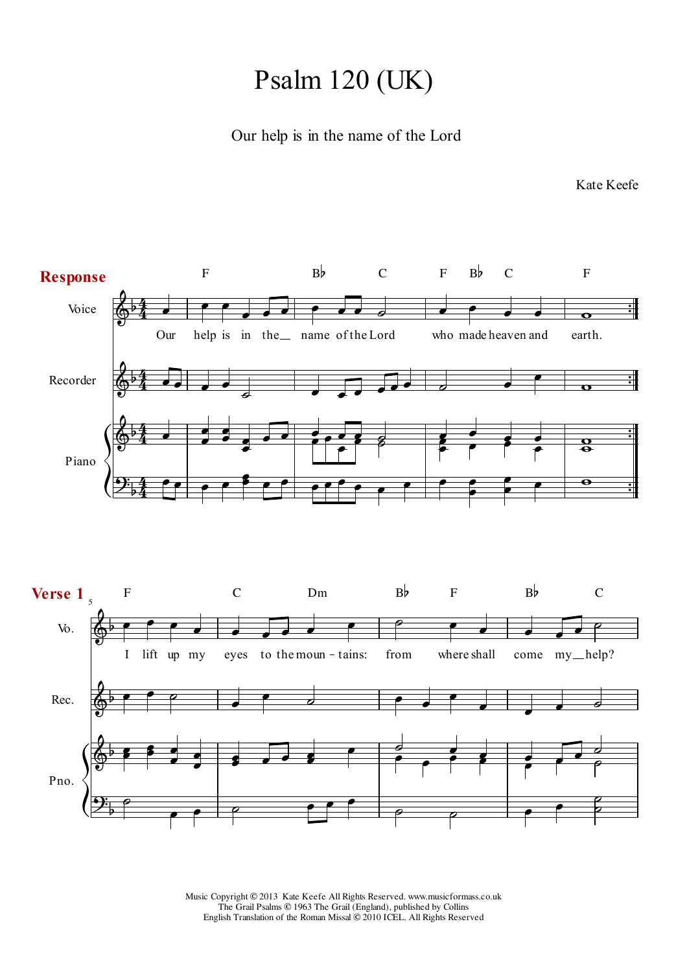## Psalm 120 (UK)

## Our help is in the name of the Lord

5 **Verse 1** Voice Piano Recorder Vo. Rec. Pno.  $\frac{1}{\cdot}$  $\frac{1}{1}$  $\frac{1}{2}$  $\frac{1}{1}$  $\frac{1}{2}$  $\frac{1}{1}$  $\frac{1}{\cdot}$  $\ddot{\bullet}$  $\overline{\phantom{a}}$  $\overline{\phantom{0}}$  $\sqrt{2}$   $\sqrt{2}$   $\sqrt{2}$   $\sqrt{2}$   $\sqrt{2}$   $\sqrt{2}$  $\begin{array}{|c|c|c|c|c|}\n\hline\n\bullet & \bullet & \circ \end{array}$  $\overline{\bullet}$  $\overline{\phantom{a}}$  $\overline{\phantom{a}}$  $\qquad \qquad \bullet$   $\qquad \bullet$  $\bullet$   $\bullet$   $\circ$  $\overline{ }$  $\overline{\phantom{a}}$  $\bullet$  $\overline{\phantom{a}}$  $\overline{\bullet}$  $\overline{\phantom{a}}$ ė f  $\overline{\phantom{a}}$  $\overline{\phantom{a}}$   $\overline{\bullet}$  $\overline{\phantom{a}}$  $\overline{\bullet}$  $\overline{\phantom{a}}$  $\overline{\bullet}$  $\mathbf{J}$  $\overline{\phantom{a}}$  $\overline{\phantom{a}}$  $\overline{\bullet}$ ø<br>P  $\overline{\phantom{a}}$  $\overline{\phantom{a}}$  $\overline{\phantom{a}}$  $\overline{ }$  $\overline{ }$  $\overline{\bullet}$  $\overline{\phantom{a}}$  $\overline{\phantom{a}}$  $\overline{\phantom{a}}$  $\overline{\phantom{a}}$  $\overline{\phantom{a}}$  $\overline{\phantom{a}}$  $\overline{\bullet}$  $\overline{\mathbf{z}}$  $\overline{\phantom{a}}$  $\bullet$  $\overline{\bullet}$  $\overline{\boldsymbol{\epsilon}}$  $\overline{e}$  $\overline{ }$  $\overline{\phantom{a}}$  $\bullet$   $\overline{\bullet}$  $\overline{\phantom{0}}$  $\overline{\phantom{a}}$  $\overline{\bullet}$  $\overline{\phantom{0}}$  $\overline{ }$  $\overline{\mathcal{S}}$  $\frac{1}{2}$  $\exists$  $\overline{ }$  $\overrightarrow{\bullet}$   $\overline{\phantom{a}}$  $\overline{\bullet}$  $\overline{\phantom{a}}$  $\overline{\bullet}$  $\overline{\bullet}$ e<br>P  $\overline{\phantom{a}}$  $\overline{\bullet}$  $\overrightarrow{\bullet}$ l  $\overline{\phantom{a}}$  $\bullet$  $\frac{1}{2}$ 7  $\overline{\phantom{a}}$  $\bullet$   $\theta$  $\overline{ }$  $\overline{\phantom{a}}$  $\overline{\bullet}$  $\overline{\phantom{a}}$  $\overline{\bullet}$  $\overline{\phantom{a}}$  $\overline{\bullet}$ ø<br>P  $\overline{\phantom{a}}$  $\overline{\bullet}$  $\overline{\mathbf{e}}$  $\frac{1}{\mathbf{8}}$  $\overline{\mathbf{o}}$  $\overline{\phantom{a}}$  $\overline{\phantom{a}}$   $\rho$  $\overline{\phantom{a}}$  $\overline{\phantom{a}}$  $\overline{\phantom{a}}$  $\overline{\bullet}$  $\frac{d}{\bullet}$  $\frac{1}{2}$  $\overline{ }$  $\overline{\bullet}$  $\overline{ }$  $\overline{\phantom{a}}$  $\overline{\phantom{a}}$  $\overrightarrow{\bullet}$   $\frac{1}{\rho}$  $\frac{1}{2}$  $\overline{\bullet}$  $\overline{\phantom{a}}$ d<br>P  $\overline{ }$  $\overline{ }$  $\overline{a}$ 0<br>D ℅ <u>.</u>  $\bigotimes$ ℰ ℅  $\bigotimes$  $\bigotimes$ <u>.</u> l<br>b |<br>|} b |<br>P |<br>|} |<br>|}  $\overline{5}$ 4 4<br>4 4 4<br>4 4 4 4 4 Our help is in the name of the Lord who made heaven and earth. I lift up my eyes to the moun-tains: from where shall come my\_help? **Response** F B♭ C F B♭ C F F C Dm  $B\flat$  F  $B\flat$  C

Kate Keefe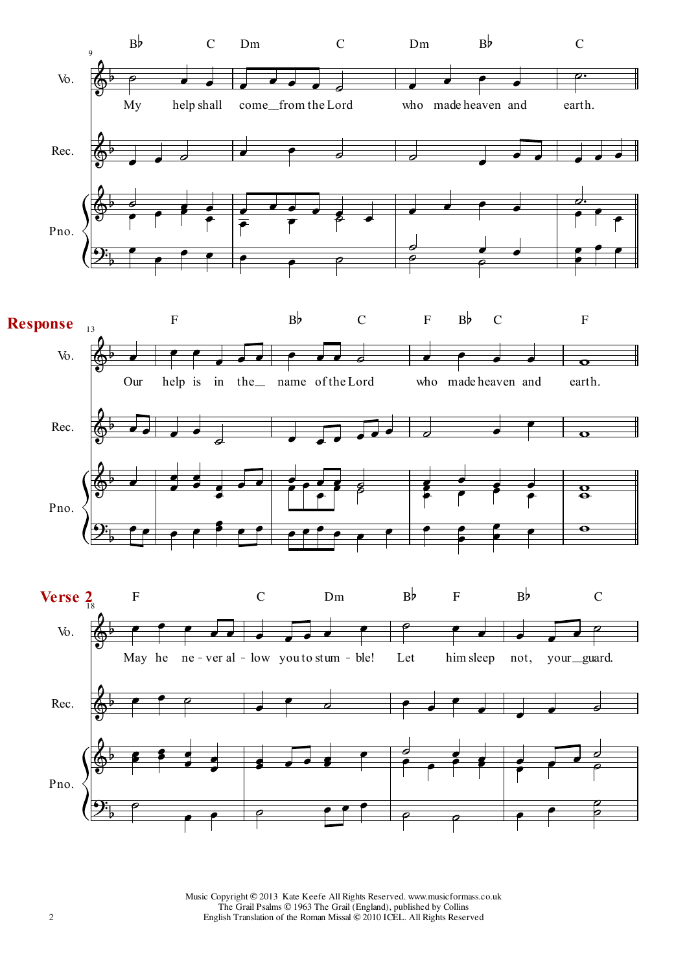

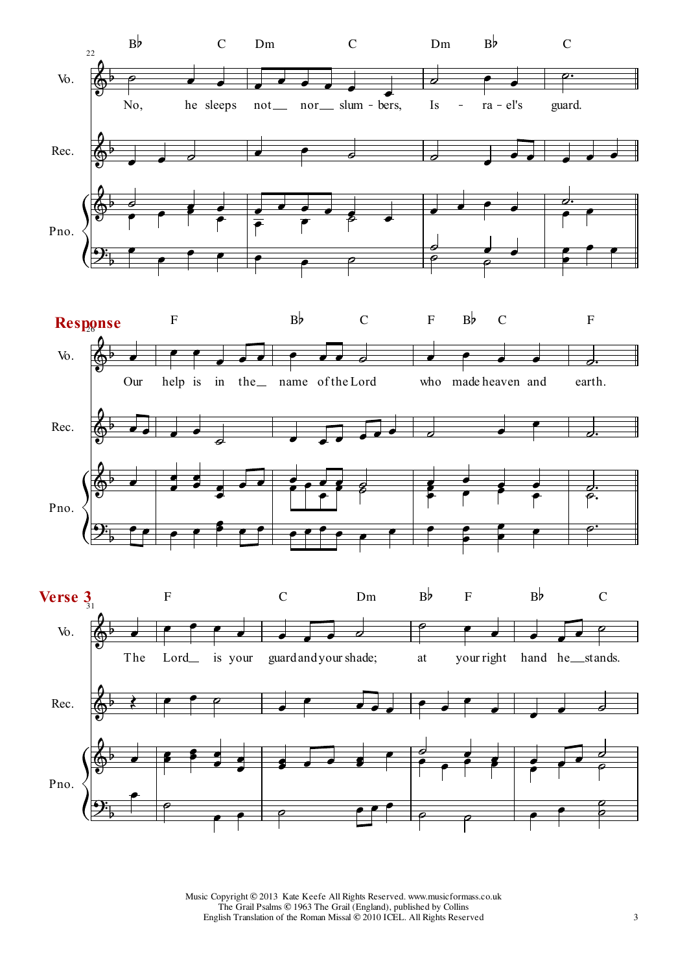



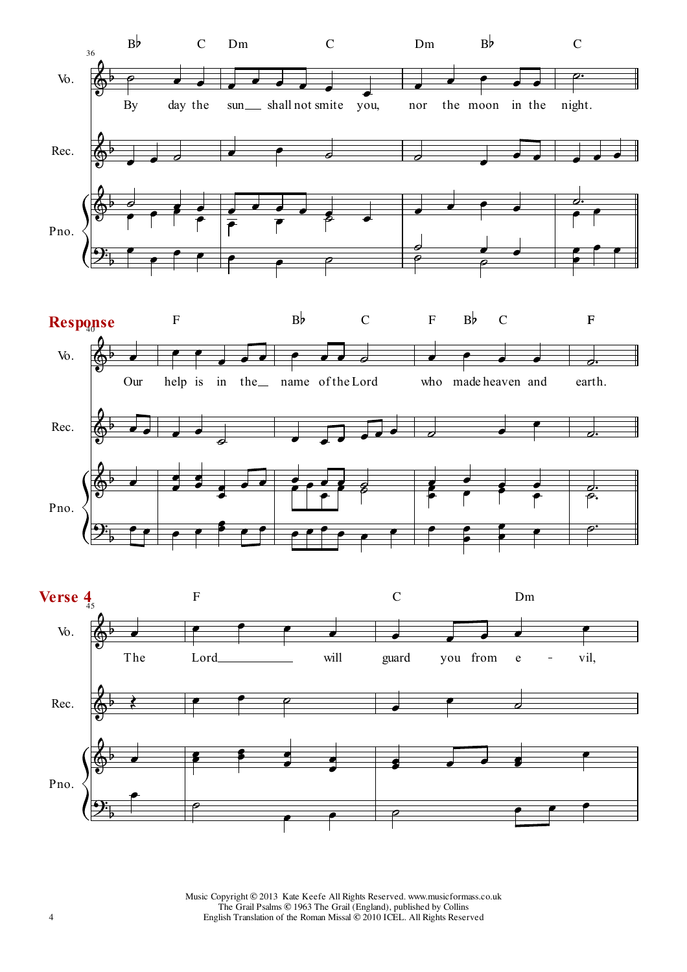